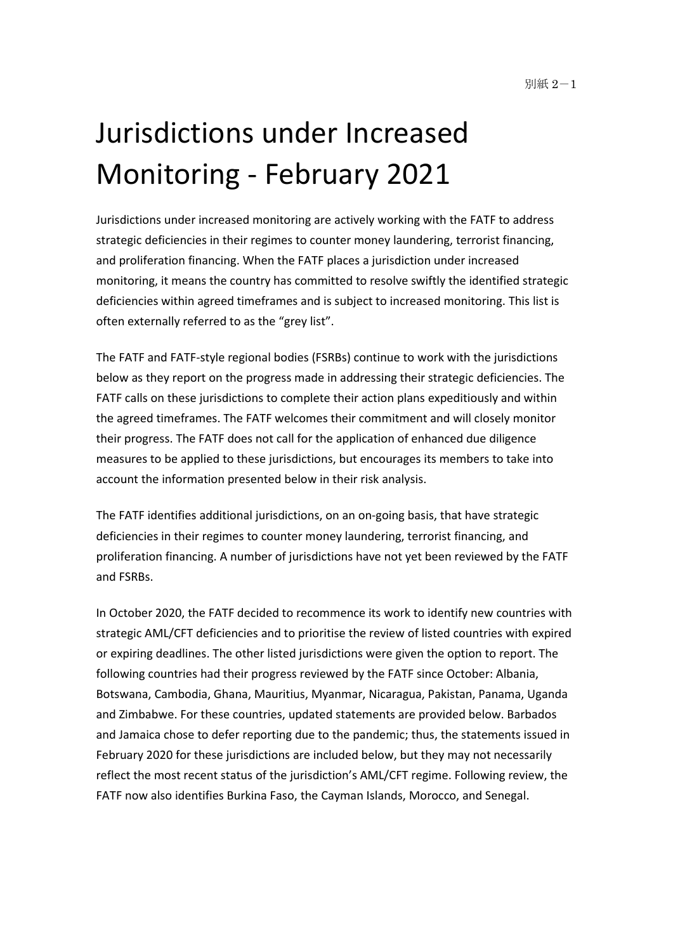# Jurisdictions under Increased Monitoring - February 2021

Jurisdictions under increased monitoring are actively working with the FATF to address strategic deficiencies in their regimes to counter money laundering, terrorist financing, and proliferation financing. When the FATF places a jurisdiction under increased monitoring, it means the country has committed to resolve swiftly the identified strategic deficiencies within agreed timeframes and is subject to increased monitoring. This list is often externally referred to as the "grey list".

The FATF and FATF-style regional bodies (FSRBs) continue to work with the jurisdictions below as they report on the progress made in addressing their strategic deficiencies. The FATF calls on these jurisdictions to complete their action plans expeditiously and within the agreed timeframes. The FATF welcomes their commitment and will closely monitor their progress. The FATF does not call for the application of enhanced due diligence measures to be applied to these jurisdictions, but encourages its members to take into account the information presented below in their risk analysis.

The FATF identifies additional jurisdictions, on an on-going basis, that have strategic deficiencies in their regimes to counter money laundering, terrorist financing, and proliferation financing. A number of jurisdictions have not yet been reviewed by the FATF and FSRBs.

In October 2020, the FATF decided to recommence its work to identify new countries with strategic AML/CFT deficiencies and to prioritise the review of listed countries with expired or expiring deadlines. The other listed jurisdictions were given the option to report. The following countries had their progress reviewed by the FATF since October: Albania, Botswana, Cambodia, Ghana, Mauritius, Myanmar, Nicaragua, Pakistan, Panama, Uganda and Zimbabwe. For these countries, updated statements are provided below. Barbados and Jamaica chose to defer reporting due to the pandemic; thus, the statements issued in February 2020 for these jurisdictions are included below, but they may not necessarily reflect the most recent status of the jurisdiction's AML/CFT regime. Following review, the FATF now also identifies Burkina Faso, the Cayman Islands, Morocco, and Senegal.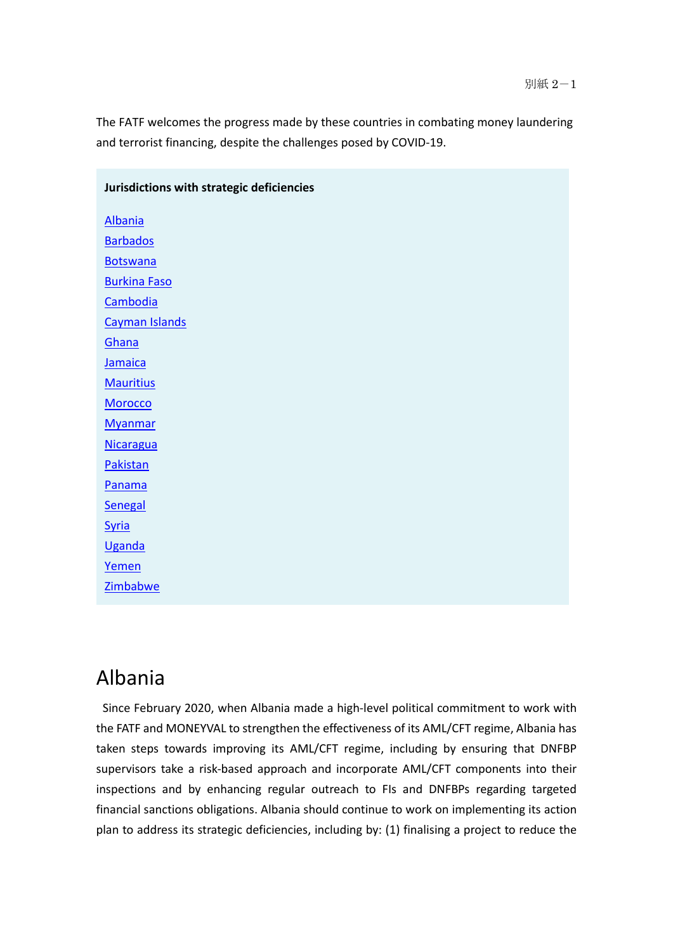The FATF welcomes the progress made by these countries in combating money laundering and terrorist financing, despite the challenges posed by COVID-19.

| Albania               |
|-----------------------|
| <b>Barbados</b>       |
| <b>Botswana</b>       |
| <b>Burkina Faso</b>   |
| <b>Cambodia</b>       |
| <b>Cayman Islands</b> |
| Ghana                 |
| Jamaica               |
| <b>Mauritius</b>      |
| <b>Morocco</b>        |
| <b>Myanmar</b>        |
| <b>Nicaragua</b>      |
| <b>Pakistan</b>       |
| <b>Panama</b>         |
| <b>Senegal</b>        |
| Syria                 |
| Uganda                |
| <u>Yemen</u>          |
| <b>Zimbabwe</b>       |
|                       |

#### **Jurisdictions with strategic deficiencies**

# Albania

 Since February 2020, when Albania made a high-level political commitment to work with the FATF and MONEYVAL to strengthen the effectiveness of its AML/CFT regime, Albania has taken steps towards improving its AML/CFT regime, including by ensuring that DNFBP supervisors take a risk-based approach and incorporate AML/CFT components into their inspections and by enhancing regular outreach to FIs and DNFBPs regarding targeted financial sanctions obligations. Albania should continue to work on implementing its action plan to address its strategic deficiencies, including by: (1) finalising a project to reduce the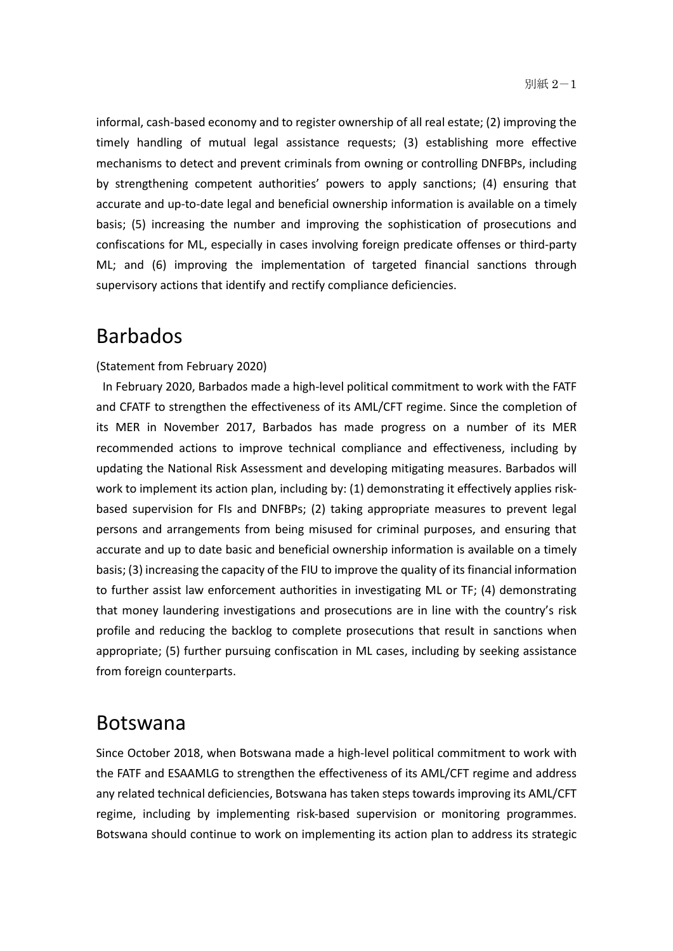informal, cash-based economy and to register ownership of all real estate; (2) improving the timely handling of mutual legal assistance requests; (3) establishing more effective mechanisms to detect and prevent criminals from owning or controlling DNFBPs, including by strengthening competent authorities' powers to apply sanctions; (4) ensuring that accurate and up-to-date legal and beneficial ownership information is available on a timely basis; (5) increasing the number and improving the sophistication of prosecutions and confiscations for ML, especially in cases involving foreign predicate offenses or third-party ML; and (6) improving the implementation of targeted financial sanctions through supervisory actions that identify and rectify compliance deficiencies.

### Barbados

#### (Statement from February 2020)

 In February 2020, Barbados made a high-level political commitment to work with the FATF and CFATF to strengthen the effectiveness of its AML/CFT regime. Since the completion of its MER in November 2017, Barbados has made progress on a number of its MER recommended actions to improve technical compliance and effectiveness, including by updating the National Risk Assessment and developing mitigating measures. Barbados will work to implement its action plan, including by: (1) demonstrating it effectively applies riskbased supervision for FIs and DNFBPs; (2) taking appropriate measures to prevent legal persons and arrangements from being misused for criminal purposes, and ensuring that accurate and up to date basic and beneficial ownership information is available on a timely basis; (3) increasing the capacity of the FIU to improve the quality of its financial information to further assist law enforcement authorities in investigating ML or TF; (4) demonstrating that money laundering investigations and prosecutions are in line with the country's risk profile and reducing the backlog to complete prosecutions that result in sanctions when appropriate; (5) further pursuing confiscation in ML cases, including by seeking assistance from foreign counterparts.

#### Botswana

Since October 2018, when Botswana made a high-level political commitment to work with the FATF and ESAAMLG to strengthen the effectiveness of its AML/CFT regime and address any related technical deficiencies, Botswana has taken steps towards improving its AML/CFT regime, including by implementing risk-based supervision or monitoring programmes. Botswana should continue to work on implementing its action plan to address its strategic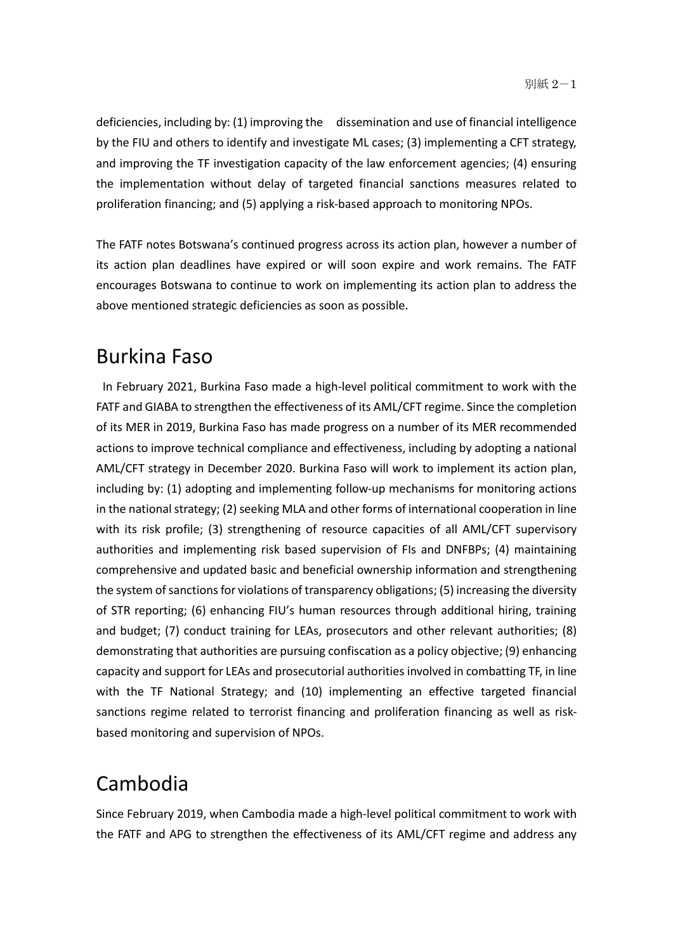deficiencies, including by: (1) improving the dissemination and use of financial intelligence by the FIU and others to identify and investigate ML cases; (3) implementing a CFT strategy, and improving the TF investigation capacity of the law enforcement agencies; (4) ensuring the implementation without delay of targeted financial sanctions measures related to proliferation financing; and (5) applying a risk-based approach to monitoring NPOs.

The FATF notes Botswana's continued progress across its action plan, however a number of its action plan deadlines have expired or will soon expire and work remains. The FATF encourages Botswana to continue to work on implementing its action plan to address the above mentioned strategic deficiencies as soon as possible.

# Burkina Faso

 In February 2021, Burkina Faso made a high-level political commitment to work with the FATF and GIABA to strengthen the effectiveness of its AML/CFT regime. Since the completion of its MER in 2019, Burkina Faso has made progress on a number of its MER recommended actions to improve technical compliance and effectiveness, including by adopting a national AML/CFT strategy in December 2020. Burkina Faso will work to implement its action plan, including by: (1) adopting and implementing follow-up mechanisms for monitoring actions in the national strategy; (2) seeking MLA and other forms of international cooperation in line with its risk profile; (3) strengthening of resource capacities of all AML/CFT supervisory authorities and implementing risk based supervision of FIs and DNFBPs; (4) maintaining comprehensive and updated basic and beneficial ownership information and strengthening the system of sanctions for violations of transparency obligations; (5) increasing the diversity of STR reporting; (6) enhancing FIU's human resources through additional hiring, training and budget; (7) conduct training for LEAs, prosecutors and other relevant authorities; (8) demonstrating that authorities are pursuing confiscation as a policy objective; (9) enhancing capacity and support for LEAs and prosecutorial authorities involved in combatting TF, in line with the TF National Strategy; and (10) implementing an effective targeted financial sanctions regime related to terrorist financing and proliferation financing as well as riskbased monitoring and supervision of NPOs.

# Cambodia

Since February 2019, when Cambodia made a high-level political commitment to work with the FATF and APG to strengthen the effectiveness of its AML/CFT regime and address any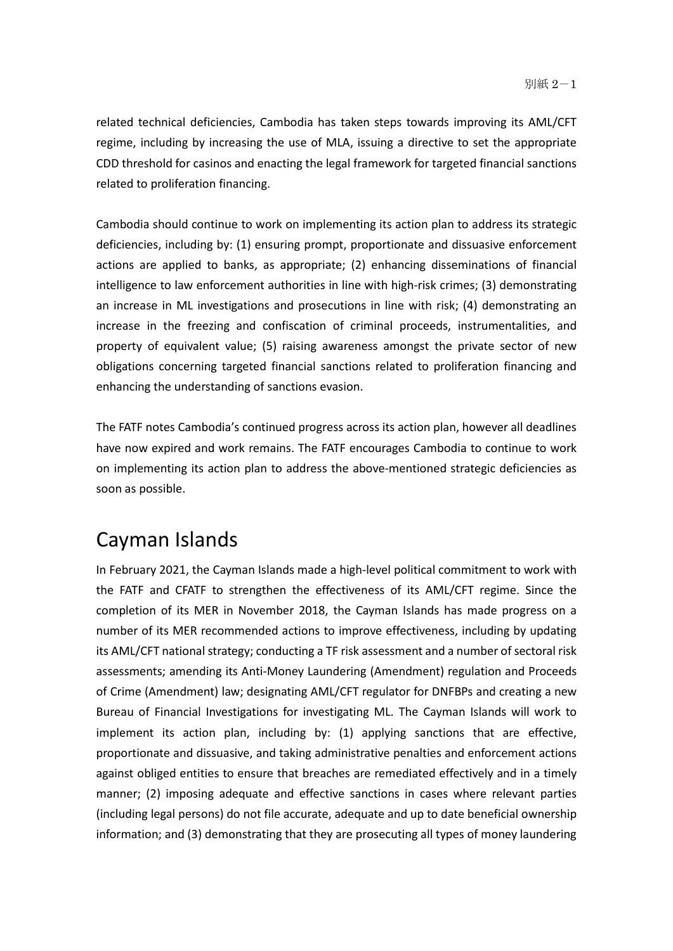related technical deficiencies, Cambodia has taken steps towards improving its AML/CFT regime, including by increasing the use of MLA, issuing a directive to set the appropriate CDD threshold for casinos and enacting the legal framework for targeted financial sanctions related to proliferation financing.

Cambodia should continue to work on implementing its action plan to address its strategic deficiencies, including by: (1) ensuring prompt, proportionate and dissuasive enforcement actions are applied to banks, as appropriate; (2) enhancing disseminations of financial intelligence to law enforcement authorities in line with high-risk crimes; (3) demonstrating an increase in ML investigations and prosecutions in line with risk; (4) demonstrating an increase in the freezing and confiscation of criminal proceeds, instrumentalities, and property of equivalent value; (5) raising awareness amongst the private sector of new obligations concerning targeted financial sanctions related to proliferation financing and enhancing the understanding of sanctions evasion.

The FATF notes Cambodia's continued progress across its action plan, however all deadlines have now expired and work remains. The FATF encourages Cambodia to continue to work on implementing its action plan to address the above-mentioned strategic deficiencies as soon as possible.

# Cayman Islands

In February 2021, the Cayman Islands made a high-level political commitment to work with the FATF and CFATF to strengthen the effectiveness of its AML/CFT regime. Since the completion of its MER in November 2018, the Cayman Islands has made progress on a number of its MER recommended actions to improve effectiveness, including by updating its AML/CFT national strategy; conducting a TF risk assessment and a number of sectoral risk assessments; amending its Anti-Money Laundering (Amendment) regulation and Proceeds of Crime (Amendment) law; designating AML/CFT regulator for DNFBPs and creating a new Bureau of Financial Investigations for investigating ML. The Cayman Islands will work to implement its action plan, including by: (1) applying sanctions that are effective, proportionate and dissuasive, and taking administrative penalties and enforcement actions against obliged entities to ensure that breaches are remediated effectively and in a timely manner; (2) imposing adequate and effective sanctions in cases where relevant parties (including legal persons) do not file accurate, adequate and up to date beneficial ownership information; and (3) demonstrating that they are prosecuting all types of money laundering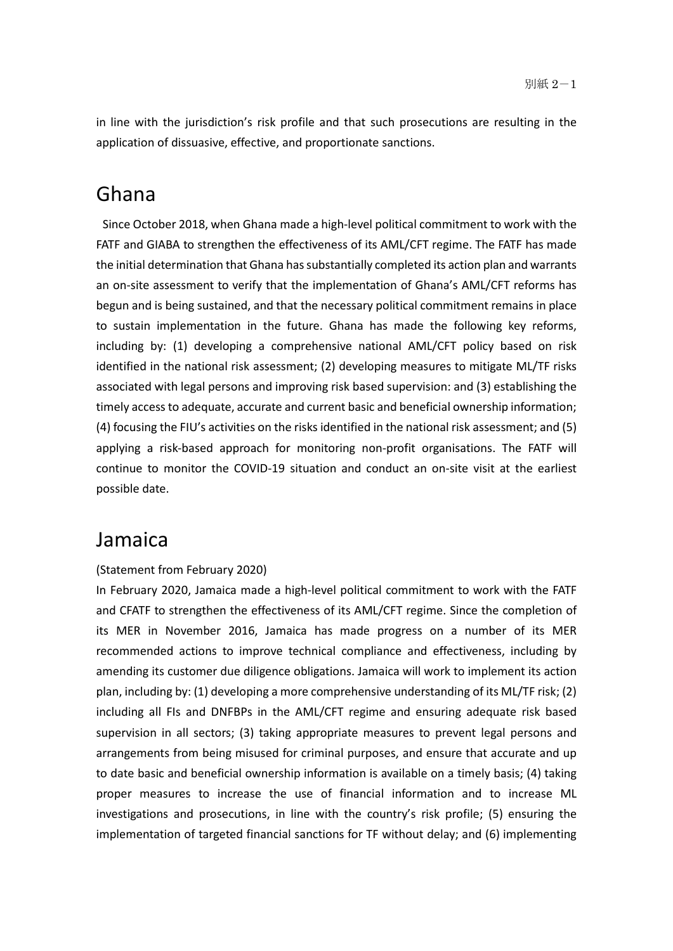in line with the jurisdiction's risk profile and that such prosecutions are resulting in the application of dissuasive, effective, and proportionate sanctions.

## Ghana

 Since October 2018, when Ghana made a high-level political commitment to work with the FATF and GIABA to strengthen the effectiveness of its AML/CFT regime. The FATF has made the initial determination that Ghana has substantially completed its action plan and warrants an on-site assessment to verify that the implementation of Ghana's AML/CFT reforms has begun and is being sustained, and that the necessary political commitment remains in place to sustain implementation in the future. Ghana has made the following key reforms, including by: (1) developing a comprehensive national AML/CFT policy based on risk identified in the national risk assessment; (2) developing measures to mitigate ML/TF risks associated with legal persons and improving risk based supervision: and (3) establishing the timely access to adequate, accurate and current basic and beneficial ownership information; (4) focusing the FIU's activities on the risks identified in the national risk assessment; and (5) applying a risk-based approach for monitoring non-profit organisations. The FATF will continue to monitor the COVID-19 situation and conduct an on-site visit at the earliest possible date.

#### Jamaica

#### (Statement from February 2020)

In February 2020, Jamaica made a high-level political commitment to work with the FATF and CFATF to strengthen the effectiveness of its AML/CFT regime. Since the completion of its MER in November 2016, Jamaica has made progress on a number of its MER recommended actions to improve technical compliance and effectiveness, including by amending its customer due diligence obligations. Jamaica will work to implement its action plan, including by: (1) developing a more comprehensive understanding of its ML/TF risk; (2) including all FIs and DNFBPs in the AML/CFT regime and ensuring adequate risk based supervision in all sectors; (3) taking appropriate measures to prevent legal persons and arrangements from being misused for criminal purposes, and ensure that accurate and up to date basic and beneficial ownership information is available on a timely basis; (4) taking proper measures to increase the use of financial information and to increase ML investigations and prosecutions, in line with the country's risk profile; (5) ensuring the implementation of targeted financial sanctions for TF without delay; and (6) implementing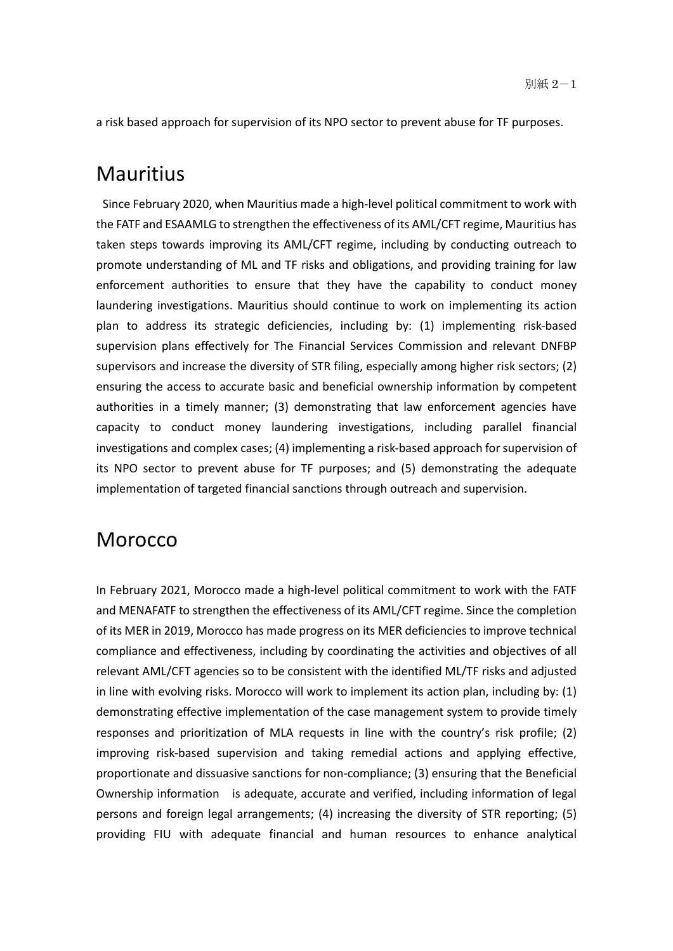a risk based approach for supervision of its NPO sector to prevent abuse for TF purposes.

### **Mauritius**

 Since February 2020, when Mauritius made a high-level political commitment to work with the FATF and ESAAMLG to strengthen the effectiveness of its AML/CFT regime, Mauritius has taken steps towards improving its AML/CFT regime, including by conducting outreach to promote understanding of ML and TF risks and obligations, and providing training for law enforcement authorities to ensure that they have the capability to conduct money laundering investigations. Mauritius should continue to work on implementing its action plan to address its strategic deficiencies, including by: (1) implementing risk-based supervision plans effectively for The Financial Services Commission and relevant DNFBP supervisors and increase the diversity of STR filing, especially among higher risk sectors; (2) ensuring the access to accurate basic and beneficial ownership information by competent authorities in a timely manner; (3) demonstrating that law enforcement agencies have capacity to conduct money laundering investigations, including parallel financial investigations and complex cases; (4) implementing a risk-based approach for supervision of its NPO sector to prevent abuse for TF purposes; and (5) demonstrating the adequate implementation of targeted financial sanctions through outreach and supervision.

#### Morocco

In February 2021, Morocco made a high-level political commitment to work with the FATF and MENAFATF to strengthen the effectiveness of its AML/CFT regime. Since the completion of its MER in 2019, Morocco has made progress on its MER deficiencies to improve technical compliance and effectiveness, including by coordinating the activities and objectives of all relevant AML/CFT agencies so to be consistent with the identified ML/TF risks and adjusted in line with evolving risks. Morocco will work to implement its action plan, including by: (1) demonstrating effective implementation of the case management system to provide timely responses and prioritization of MLA requests in line with the country's risk profile; (2) improving risk-based supervision and taking remedial actions and applying effective, proportionate and dissuasive sanctions for non-compliance; (3) ensuring that the Beneficial Ownership information is adequate, accurate and verified, including information of legal persons and foreign legal arrangements; (4) increasing the diversity of STR reporting; (5) providing FIU with adequate financial and human resources to enhance analytical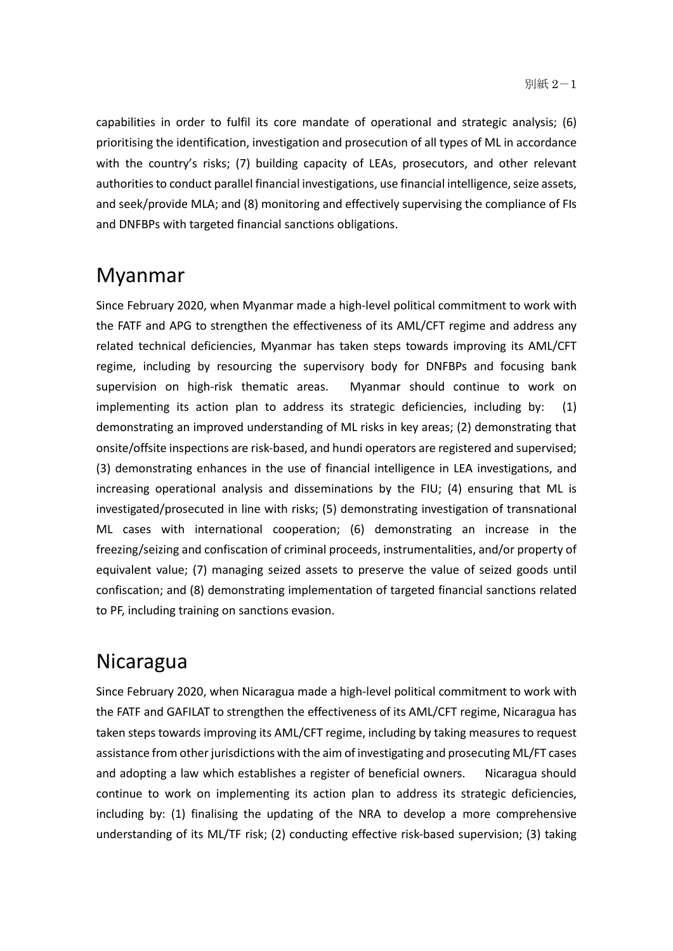capabilities in order to fulfil its core mandate of operational and strategic analysis; (6) prioritising the identification, investigation and prosecution of all types of ML in accordance with the country's risks; (7) building capacity of LEAs, prosecutors, and other relevant authorities to conduct parallel financial investigations, use financial intelligence, seize assets, and seek/provide MLA; and (8) monitoring and effectively supervising the compliance of FIs and DNFBPs with targeted financial sanctions obligations.

### Myanmar

Since February 2020, when Myanmar made a high-level political commitment to work with the FATF and APG to strengthen the effectiveness of its AML/CFT regime and address any related technical deficiencies, Myanmar has taken steps towards improving its AML/CFT regime, including by resourcing the supervisory body for DNFBPs and focusing bank supervision on high-risk thematic areas. Myanmar should continue to work on implementing its action plan to address its strategic deficiencies, including by: (1) demonstrating an improved understanding of ML risks in key areas; (2) demonstrating that onsite/offsite inspections are risk-based, and hundi operators are registered and supervised; (3) demonstrating enhances in the use of financial intelligence in LEA investigations, and increasing operational analysis and disseminations by the FIU; (4) ensuring that ML is investigated/prosecuted in line with risks; (5) demonstrating investigation of transnational ML cases with international cooperation; (6) demonstrating an increase in the freezing/seizing and confiscation of criminal proceeds, instrumentalities, and/or property of equivalent value; (7) managing seized assets to preserve the value of seized goods until confiscation; and (8) demonstrating implementation of targeted financial sanctions related to PF, including training on sanctions evasion.

### Nicaragua

Since February 2020, when Nicaragua made a high-level political commitment to work with the FATF and GAFILAT to strengthen the effectiveness of its AML/CFT regime, Nicaragua has taken steps towards improving its AML/CFT regime, including by taking measures to request assistance from other jurisdictions with the aim of investigating and prosecuting ML/FT cases and adopting a law which establishes a register of beneficial owners. Nicaragua should continue to work on implementing its action plan to address its strategic deficiencies, including by: (1) finalising the updating of the NRA to develop a more comprehensive understanding of its ML/TF risk; (2) conducting effective risk-based supervision; (3) taking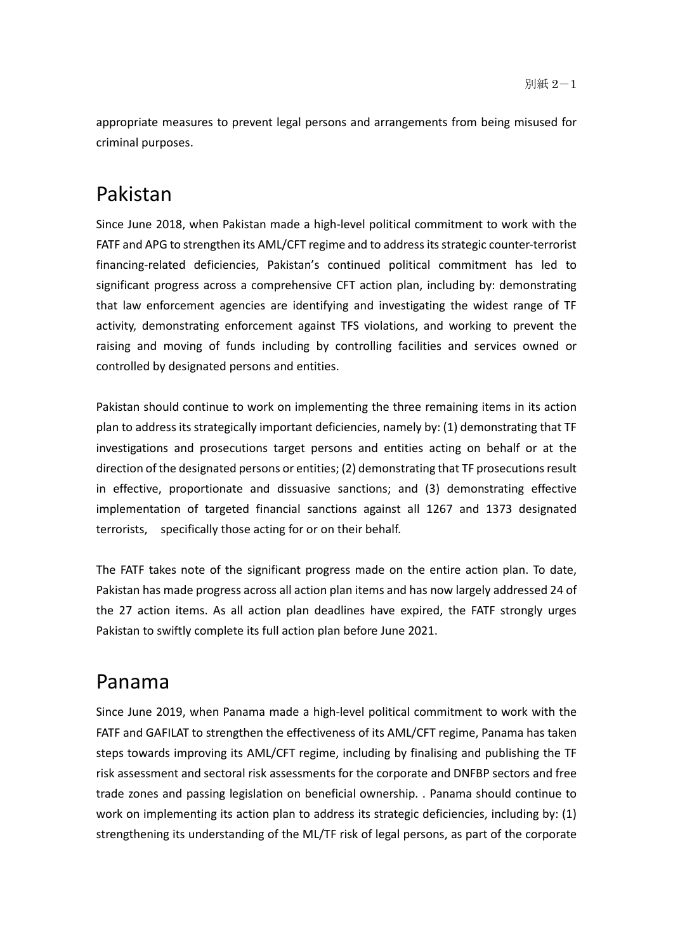appropriate measures to prevent legal persons and arrangements from being misused for criminal purposes.

# Pakistan

Since June 2018, when Pakistan made a high-level political commitment to work with the FATF and APG to strengthen its AML/CFT regime and to address its strategic counter-terrorist financing-related deficiencies, Pakistan's continued political commitment has led to significant progress across a comprehensive CFT action plan, including by: demonstrating that law enforcement agencies are identifying and investigating the widest range of TF activity, demonstrating enforcement against TFS violations, and working to prevent the raising and moving of funds including by controlling facilities and services owned or controlled by designated persons and entities.

Pakistan should continue to work on implementing the three remaining items in its action plan to address its strategically important deficiencies, namely by: (1) demonstrating that TF investigations and prosecutions target persons and entities acting on behalf or at the direction of the designated persons or entities; (2) demonstrating that TF prosecutions result in effective, proportionate and dissuasive sanctions; and (3) demonstrating effective implementation of targeted financial sanctions against all 1267 and 1373 designated terrorists, specifically those acting for or on their behalf.

The FATF takes note of the significant progress made on the entire action plan. To date, Pakistan has made progress across all action plan items and has now largely addressed 24 of the 27 action items. As all action plan deadlines have expired, the FATF strongly urges Pakistan to swiftly complete its full action plan before June 2021.

# Panama

Since June 2019, when Panama made a high-level political commitment to work with the FATF and GAFILAT to strengthen the effectiveness of its AML/CFT regime, Panama has taken steps towards improving its AML/CFT regime, including by finalising and publishing the TF risk assessment and sectoral risk assessments for the corporate and DNFBP sectors and free trade zones and passing legislation on beneficial ownership. . Panama should continue to work on implementing its action plan to address its strategic deficiencies, including by: (1) strengthening its understanding of the ML/TF risk of legal persons, as part of the corporate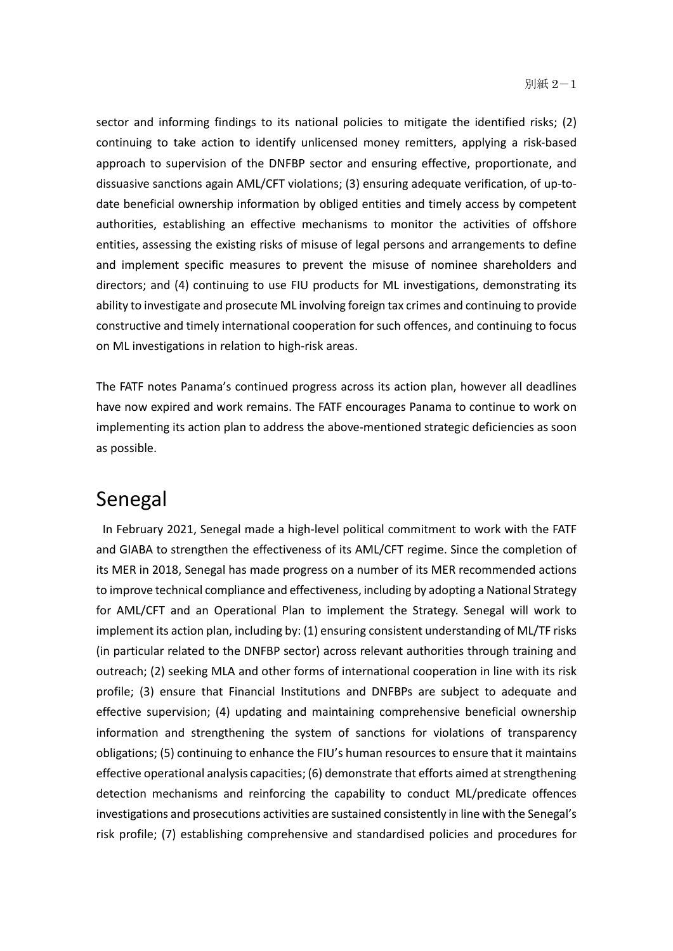sector and informing findings to its national policies to mitigate the identified risks; (2) continuing to take action to identify unlicensed money remitters, applying a risk-based approach to supervision of the DNFBP sector and ensuring effective, proportionate, and dissuasive sanctions again AML/CFT violations; (3) ensuring adequate verification, of up-todate beneficial ownership information by obliged entities and timely access by competent authorities, establishing an effective mechanisms to monitor the activities of offshore entities, assessing the existing risks of misuse of legal persons and arrangements to define and implement specific measures to prevent the misuse of nominee shareholders and directors; and (4) continuing to use FIU products for ML investigations, demonstrating its ability to investigate and prosecute ML involving foreign tax crimes and continuing to provide constructive and timely international cooperation for such offences, and continuing to focus on ML investigations in relation to high-risk areas.

The FATF notes Panama's continued progress across its action plan, however all deadlines have now expired and work remains. The FATF encourages Panama to continue to work on implementing its action plan to address the above-mentioned strategic deficiencies as soon as possible.

### Senegal

 In February 2021, Senegal made a high-level political commitment to work with the FATF and GIABA to strengthen the effectiveness of its AML/CFT regime. Since the completion of its MER in 2018, Senegal has made progress on a number of its MER recommended actions to improve technical compliance and effectiveness, including by adopting a National Strategy for AML/CFT and an Operational Plan to implement the Strategy. Senegal will work to implement its action plan, including by: (1) ensuring consistent understanding of ML/TF risks (in particular related to the DNFBP sector) across relevant authorities through training and outreach; (2) seeking MLA and other forms of international cooperation in line with its risk profile; (3) ensure that Financial Institutions and DNFBPs are subject to adequate and effective supervision; (4) updating and maintaining comprehensive beneficial ownership information and strengthening the system of sanctions for violations of transparency obligations; (5) continuing to enhance the FIU's human resources to ensure that it maintains effective operational analysis capacities; (6) demonstrate that efforts aimed at strengthening detection mechanisms and reinforcing the capability to conduct ML/predicate offences investigations and prosecutions activities are sustained consistently in line with the Senegal's risk profile; (7) establishing comprehensive and standardised policies and procedures for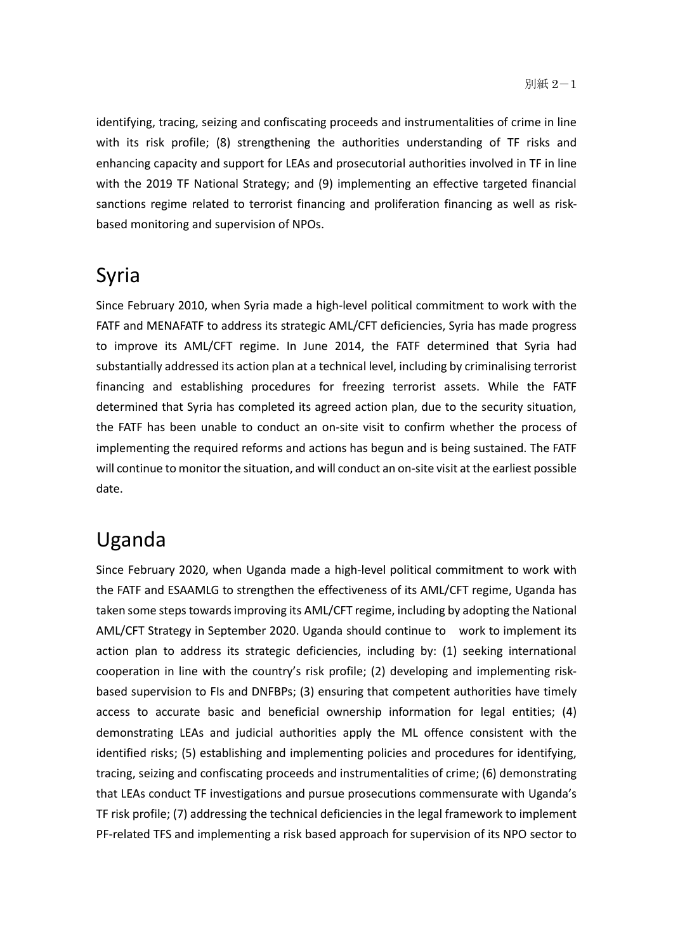identifying, tracing, seizing and confiscating proceeds and instrumentalities of crime in line with its risk profile; (8) strengthening the authorities understanding of TF risks and enhancing capacity and support for LEAs and prosecutorial authorities involved in TF in line with the 2019 TF National Strategy; and (9) implementing an effective targeted financial sanctions regime related to terrorist financing and proliferation financing as well as riskbased monitoring and supervision of NPOs.

# Syria

Since February 2010, when Syria made a high-level political commitment to work with the FATF and MENAFATF to address its strategic AML/CFT deficiencies, Syria has made progress to improve its AML/CFT regime. In June 2014, the FATF determined that Syria had substantially addressed its action plan at a technical level, including by criminalising terrorist financing and establishing procedures for freezing terrorist assets. While the FATF determined that Syria has completed its agreed action plan, due to the security situation, the FATF has been unable to conduct an on-site visit to confirm whether the process of implementing the required reforms and actions has begun and is being sustained. The FATF will continue to monitor the situation, and will conduct an on-site visit at the earliest possible date.

# Uganda

Since February 2020, when Uganda made a high-level political commitment to work with the FATF and ESAAMLG to strengthen the effectiveness of its AML/CFT regime, Uganda has taken some steps towards improving its AML/CFT regime, including by adopting the National AML/CFT Strategy in September 2020. Uganda should continue to work to implement its action plan to address its strategic deficiencies, including by: (1) seeking international cooperation in line with the country's risk profile; (2) developing and implementing riskbased supervision to FIs and DNFBPs; (3) ensuring that competent authorities have timely access to accurate basic and beneficial ownership information for legal entities; (4) demonstrating LEAs and judicial authorities apply the ML offence consistent with the identified risks; (5) establishing and implementing policies and procedures for identifying, tracing, seizing and confiscating proceeds and instrumentalities of crime; (6) demonstrating that LEAs conduct TF investigations and pursue prosecutions commensurate with Uganda's TF risk profile; (7) addressing the technical deficiencies in the legal framework to implement PF-related TFS and implementing a risk based approach for supervision of its NPO sector to